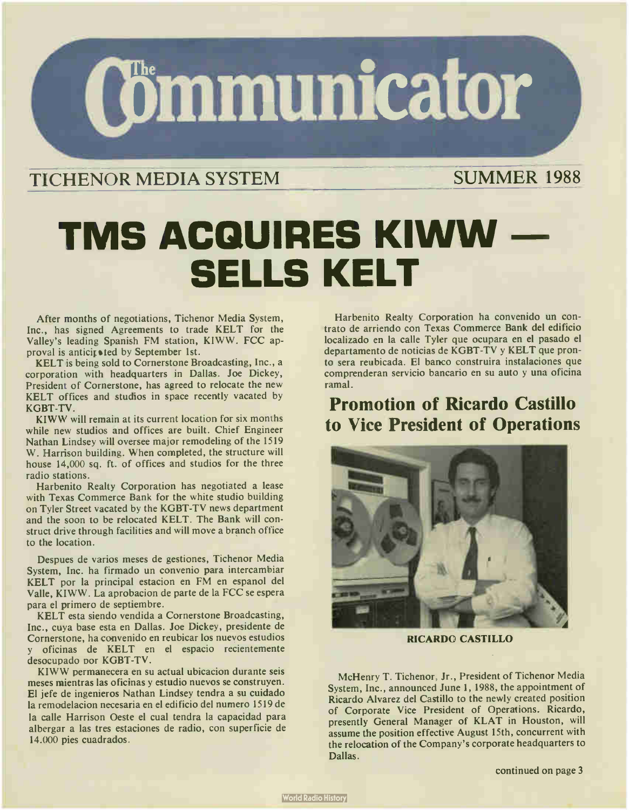

## TICHENOR MEDIA SYSTEM SUMMER 1988

# TMS ACQUIRES KIWW SELLS KELT

After months of negotiations, Tichenor Media System, Inc., has signed Agreements to trade KELT for the Valley's leading Spanish FM station, KIWW. FCC approval is anticipated by September 1st.

KELT is being sold to Cornerstone Broadcasting, Inc., a corporation with headquarters in Dallas. Joe Dickey, President of Cornerstone, has agreed to relocate the new KELT offices and studios in space recently vacated by KGBT-TV.

KIWW will remain at its current location for six months while new studios and offices are built. Chief Engineer Nathan Lindsey will oversee major remodeling of the 1519 W. Harrison building. When completed, the structure will house 14,000 sq. ft. of offices and studios for the three radio stations.

Harbenito Realty Corporation has negotiated a lease with Texas Commerce Bank for the white studio building on Tyler Street vacated by the KGBT-TV news department and the soon to be relocated KELT. The Bank will construct drive through facilities and will move a branch office to the location.

Despues de varios meses de gestiones, Tichenor Media System, Inc. ha firmado un convenio para intercambiar KELT por la principal estacion en FM en espanol del Valle, KIWW. La aprobacion de parte de la FCC se espera para el primero de septiembre.

KELT esta siendo vendida a Cornerstone Broadcasting, Inc., cuya base esta en Dallas. Joe Dickey, presidente de Cornerstone, ha convenido en reubicar los nuevos estudios y oficinas de KELT en el espacio recientemente desocupado nor KGBT-TV.

KIWW permanecera en su actual ubicacion durante seis meses mientras las oficinas y estudio nuevos se construyen. El jefe de ingenieros Nathan Lindsey tendra a su cuidado la remodelacion necesaria en el edificio del numero 1519 de la calle Harrison Oeste el cual tendra la capacidad para albergar a las tres estaciones de radio, con superficie de 14.000 pies cuadrados.

Harbenito Realty Corporation ha convenido un contrato de arriendo con Texas Commerce Bank del edificio localizado en la calle Tyler que ocupara en el pasado el departamento de noticias de KGBT-TV y KELT que pronto sera reubicada. El banco construira instalaciones que comprenderan servicio bancario en su auto y una oficina ramal.

## Promotion of Ricardo Castillo to Vice President of Operations



RICARDO CASTILLO

McHenry T. Tichenor, Jr., President of Tichenor Media System, Inc., announced June 1, 1988, the appointment of Ricardo Alvarez del Castillo to the newly created position of Corporate Vice President of Operations. Ricardo, presently General Manager of KLAT in Houston, will assume the position effective August 15th, concurrent with the relocation of the Company's corporate headquarters to Dallas.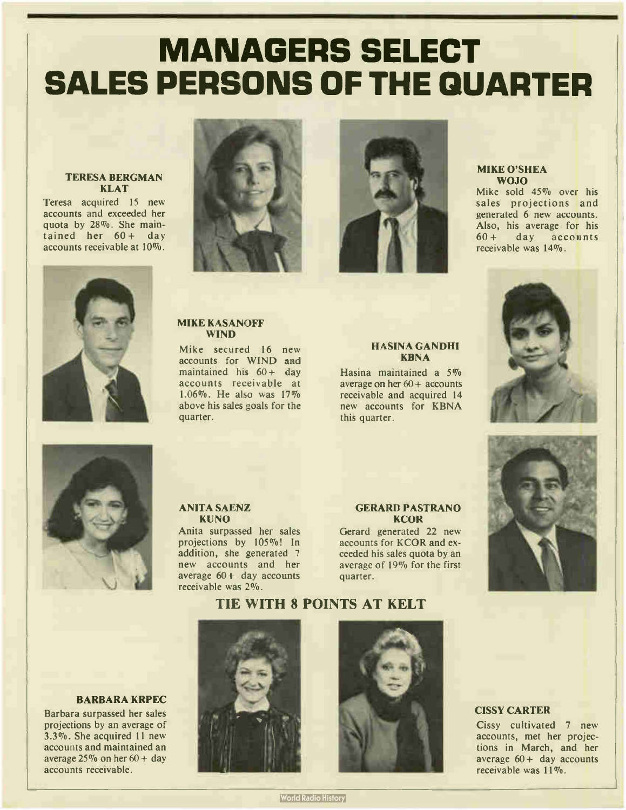# MANAGERS SELECT SALES PERSONS OF THE QUARTER

#### TERESA BERGMAN **KLAT**

Teresa acquired 15 new accounts and exceeded her quota by 28%. She maintained her  $60 + day$ accounts receivable at 10%.





#### MIKE KASANOFF WIND

Mike secured 16 new accounts for WIND and maintained his  $60 + day$ accounts receivable at 1.06%. He also was 17% above his sales goals for the quarter.



#### HASINA GANDHI **KBNA**

Hasina maintained a 5% average on her  $60 +$  accounts receivable and acquired 14 new accounts for KBNA this quarter.

#### MIKE O'SHEA WOJO

Mike sold 45% over his sales projections and generated 6 new accounts. Also, his average for his 60 + day accounts receivable was 14%.





#### ANITA SAENZ KUNO

Anita surpassed her sales projections by 105%! In addition, she generated 7 new accounts and her average  $60 +$  day accounts receivable was 2%.

#### GERARD PASTRANO **KCOR**

Gerard generated 22 new accounts for KCOR and exceeded his sales quota by an average of 19% for the first quarter.



TIE WITH 8 POINTS AT KELT

#### BARBARA KRPEC

Barbara surpassed her sales projections by an average of 3.3%. She acquired 11 new accounts and maintained an average  $25\%$  on her  $60 + day$ accounts receivable.





#### CISSY CARTER

Cissy cultivated 7 new accounts, met her projections in March, and her average  $60 +$  day accounts receivable was 11%.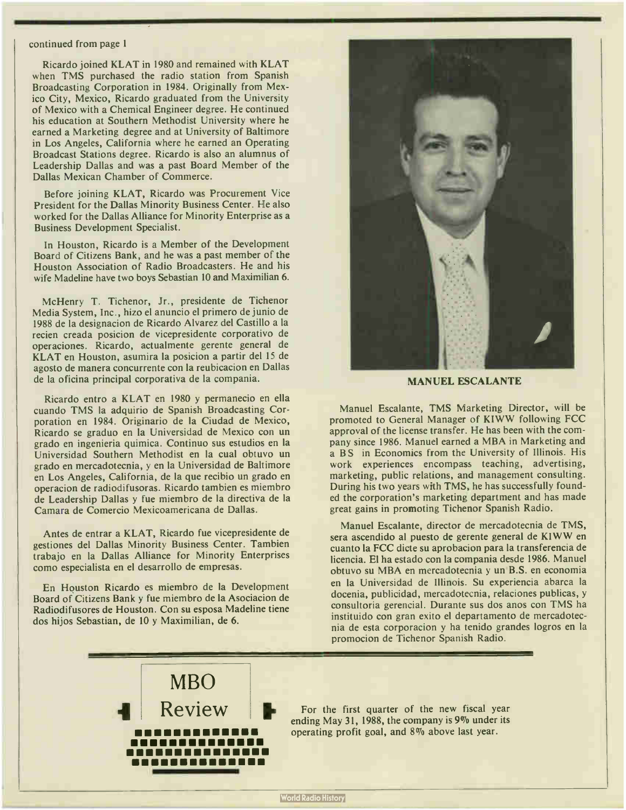#### continued from page 1

Ricardo joined KLAT in 1980 and remained with KLAT when TMS purchased the radio station from Spanish Broadcasting Corporation in 1984. Originally from Mexico City, Mexico, Ricardo graduated from the University of Mexico with a Chemical Engineer degree. He continued his education at Southern Methodist University where he earned a Marketing degree and at University of Baltimore in Los Angeles, California where he earned an Operating Broadcast Stations degree. Ricardo is also an alumnus of Leadership Dallas and was a past Board Member of the Dallas Mexican Chamber of Commerce.

Before joining KLAT, Ricardo was Procurement Vice President for the Dallas Minority Business Center. He also worked for the Dallas Alliance for Minority Enterprise as a Business Development Specialist.

In Houston, Ricardo is a Member of the Development Board of Citizens Bank, and he was a past member of the Houston Association of Radio Broadcasters. He and his wife Madeline have two boys Sebastian 10 and Maximilian 6.

McHenry T. Tichenor, Jr., presidente de Tichenor Media System, Inc., hizo el anuncio el primero de junio de 1988 de la designacion de Ricardo Alvarez del Castillo a la recien creada posicion de vicepresidente corporativo de operaciones. Ricardo, actualmente gerente general de KLAT en Houston, asumira la posicion a partir del 15 de agosto de manera concurrente con la reubicacion en Dallas de la oficina principal corporativa de la compania.

Ricardo entro a KLAT en 1980 y permanecio en ella cuando TMS la adquirio de Spanish Broadcasting Corporation en 1984. Originario de la Ciudad de Mexico, Ricardo se graduo en la Universidad de Mexico con un grado en ingenieria quimica. Continuo sus estudios en la Universidad Southern Methodist en la cual obtuvo un grado en mercadotecnia, y en la Universidad de Baltimore en Los Angeles, California, de la que recibio un grado en operacion de radiodifusoras. Ricardo tambien es miembro de Leadership Dallas y fue miembro de la directiva de la Camara de Comercio Mexicoamericana de Dallas.

Antes de entrar a KLAT, Ricardo fue vicepresidente de gestiones del Dallas Minority Business Center. Tambien trabajo en la Dallas Alliance for Minority Enterprises como especialista en el desarrollo de empresas.

En Houston Ricardo es miembro de la Development Board of Citizens Bank y fue miembro de la Asociacion de Radiodifusores de Houston. Con su esposa Madeline tiene dos hijos Sebastian, de 10 y Maximilian, de 6.



#### MANUEL ESCALANTE

Manuel Escalante, TMS Marketing Director, will be promoted to General Manager of KIWW following FCC approval of the license transfer. He has been with the company since 1986. Manuel earned a MBA in Marketing and a BS in Economics from the University of Illinois. His work experiences encompass teaching, advertising, marketing, public relations, and management consulting. During his two years with TMS, he has successfully founded the corporation's marketing department and has made great gains in promoting Tichenor Spanish Radio.

Manuel Escalante, director de mercadotecnia de TMS, sera ascendido al puesto de gerente general de KIWW en cuanto la FCC dicte su aprobacion para la transferencia de licencia. El ha estado con la compania desde 1986. Manuel obtuvo su MBA en mercadotecnia y un B.S. en economia en la Universidad de Illinois. Su experiencia abarca la docenia, publicidad, mercadotecnia, relaciones publicas, y consultoria gerencial. Durante sus dos anos con TMS ha instituido con gran exito el departamento de mercadotecnia de esta corporacion y ha tenido grandes logros en la promocion de Tichenor Spanish Radio.

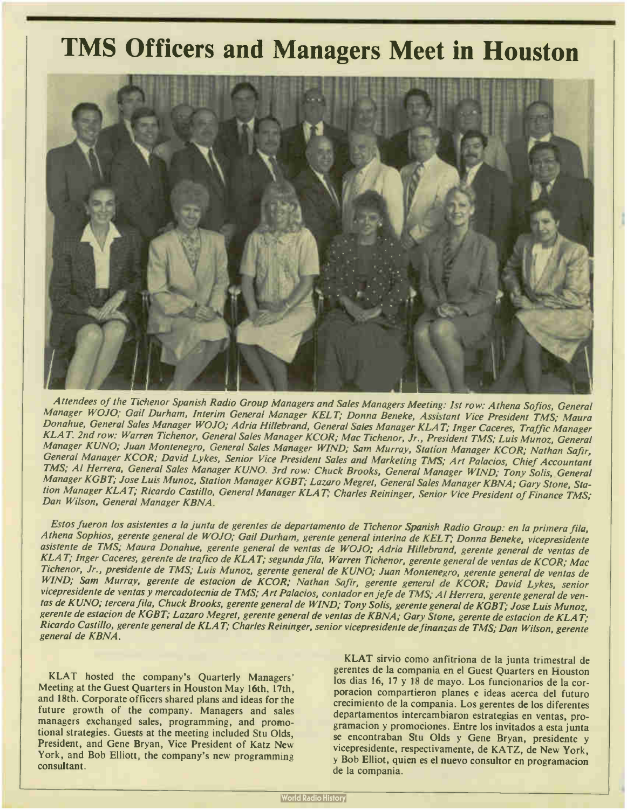## TMS Officers and Managers Meet in Houston



Attendees of the Tichenor Spanish Radio Group Managers and Sales Managers Meeting: 1st row: Athena Sofios, General Manager WOJO; Gail Durham, Interim General Manager KELT; Donna Beneke, Assistant Vice President TMS; Maura Donahue, General Sales Manager WOJO; Adria Hillebrand, General Sales Manager KLAT; Inger Caceres, Traffic Manager KLAT. 2nd row: Warren Tichenor, General Sales Manager KCOR; Mac Tichenor, Jr., President TMS; Luis Munoz, General Manager KUNO; Juan Montenegro, General Sales Manager WIND; Sam Murray, Station Manager KCOR; Nathan Safir, General Manager KCOR; David Lykes, Senior Vice President Sales and Marketing TMS; Art Palacios, Chief Accountant TMS; Al Herrera, General Sales Manager KUNO. 3rd row: Chuck Brooks, General Manager WIND; Tony Solis, General Manager KGBT; Jose Luis Munoz, Station Manager KGBT; Lazaro Megret, General Sales Manager KBNA; Gary Stone, Station Manager KLAT; Ricardo Castillo, General Manager KLAT; Charles Reininger, Senior Vice President of Finance TMS; Dan Wilson, General Manager KBNA.

Estos fueron los asistentes a la junta de gerentes de departamento de Tichenor Spanish Radio Group: en la primera fila, Athena Sophios, gerente general de WOJO; Gail Durham, gerente general interina de KELT; Donna Beneke, vicepresidente asistente de TMS; Maura Donahue, gerente general de yentas de WOJO; Adria Hillebrand, gerente general de yentas de KLAT; Inger Caceres, gerente de trafico de KLAT; segunda fila, Warren Tichenor, gerente general de yentas de KCOR; Mac Tichenor, Jr., presidente de TMS; Luis Munoz, gerente general de KUNO; Juan Montenegro, gerente general de yentas de WIND; Sam Murray, gerente de estacion de KCOR; Nathan Safir, gerente general de KCOR; David Lykes, senior vicepresidente de yentas y mercadotecnia de TMS; Art Palacios, contador en jefe de TMS; Al Herrera, gerente general de yentas de KUNO; tercera fila, Chuck Brooks, gerente general de WIND; Tony Solis, gerente general de KGBT; Jose Luis Munoz, gerente de estacion de KGBT; Lazaro Megret, gerente general de ventas de KBNA; Gary Stone, gerente de estacion de KLAT; Ricardo Castillo, gerente general de KLAT; Charles Reininger, senior vicepresidente definanzas de TMS; Dan Wilson, gerente general de KBNA.

KLAT hosted the company's Quarterly Managers' Meeting at the Guest Quarters in Houston May 16th, 17th, and 18th. Corporate officers shared plans and ideas for the future growth of the company. Managers and sales managers exchanged sales, programming, and promotional strategies. Guests at the meeting included Stu Olds, President, and Gene Bryan, Vice President of Katz New York, and Bob Elliott, the company's new programming consultant.

KLAT sirvio como anfitriona de la junta trimestral de gerentes de la compania en el Guest Quarters en Houston los dias 16, 17 y 18 de mayo. Los funcionarios de la corporacion compartieron planes e ideas acerca del futuro crecimiento de la compania. Los gerentes de los diferentes departamentos intercambiaron estrategias en yentas, programacion y promociones. Entre los invitados a esta junta se encontraban Stu Olds y Gene Bryan, presidente y vicepresidente, respectivamente, de KATZ, de New York, y Bob Elliot, quien es el nuevo consultor en programacion de la compania.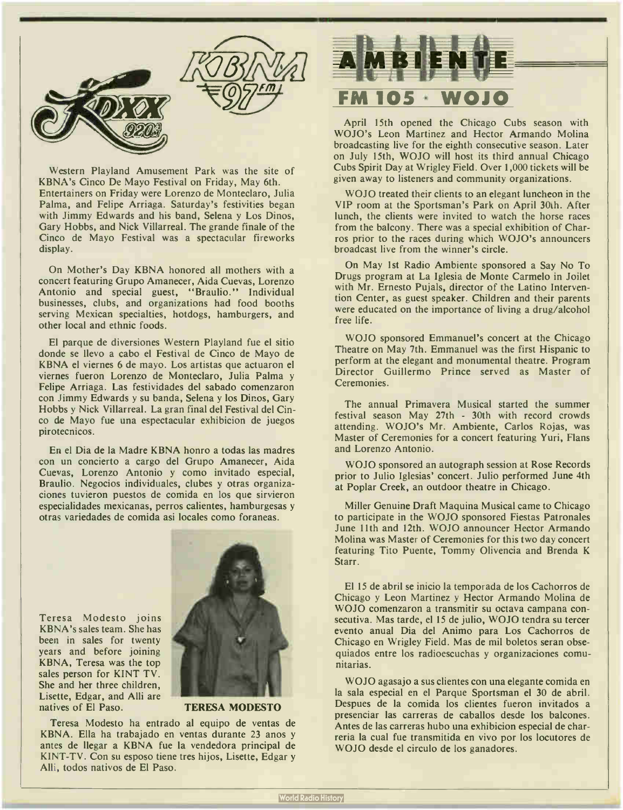

Western Playland Amusement Park was the site of KBNA's Cinco De Mayo Festival on Friday, May 6th. Entertainers on Friday were Lorenzo de Monteclaro, Julia Palma, and Felipe Arriaga. Saturday's festivities began with Jimmy Edwards and his band, Selena y Los Dinos, Gary Hobbs, and Nick Villarreal. The grande finale of the Cinco de Mayo Festival was a spectacular fireworks display.

On Mother's Day KBNA honored all mothers with a concert featuring Grupo Amanecer, Aida Cuevas, Lorenzo Antonio and special guest, "Braulio." Individual businesses, clubs, and organizations had food booths serving Mexican specialties, hotdogs, hamburgers, and other local and ethnic foods.

El parque de diversiones Western Playland fue el sitio donde se llevo a cabo el Festival de Cinco de Mayo de KBNA el viernes 6 de mayo. Los artistas que actuaron el viernes fueron Lorenzo de Monteclaro, Julia Palma y Felipe Arriaga. Las festividades del sabado comenzaron con Jimmy Edwards y su banda, Selena y los Dinos, Gary Hobbs y Nick Villarreal. La gran final del Festival del Cinco de Mayo fue una espectacular exhibicion de juegos pirotecnicos.

En el Dia de la Madre KBNA honro a todas las madres con un concierto a cargo del Grupo Amanecer, Aida Cuevas, Lorenzo Antonio y como invitado especial, Braulio. Negocios individuales, clubes y otras organizaciones tuvieron puestos de comida en los que sirvieron especialidades mexicanas, perros calientes, hamburgesas y otras variedades de comida asi locales como foraneas.

Teresa Modesto joins KBNA's sales team. She has been in sales for twenty years and before joining KBNA, Teresa was the top sales person for KINT TV. She and her three children, Lisette, Edgar, and Alli are natives of El Paso. TERESA MODESTO



Teresa Modesto ha entrado al equipo de yentas de KBNA. Ella ha trabajado en yentas durante <sup>23</sup> anos y antes de llegar a KBNA fue la vendedora principal de KINT-TV. Con su esposo tiene tres hijos, Lisette, Edgar y Alli, todos nativos de El Paso.



April 15th opened the Chicago Cubs season with WOJO's Leon Martinez and Hector Armando Molina broadcasting live for the eighth consecutive season. Later on July 15th, WOJO will host its third annual Chicago Cubs Spirit Day at Wrigley Field. Over 1,000 tickets will be given away to listeners and community organizations.

WOJO treated their clients to an elegant luncheon in the VIP room at the Sportsman's Park on April 30th. After lunch, the clients were invited to watch the horse races from the balcony. There was a special exhibition of Charros prior to the races during which WOJO's announcers broadcast live from the winner's circle.

On May 1st Radio Ambiente sponsored a Say No To Drugs program at La Iglesia de Monte Carmelo in Joilet with Mr. Ernesto Pujals, director of the Latino Intervention Center, as guest speaker. Children and their parents were educated on the importance of living a drug/alcohol free life.

WOJO sponsored Emmanuel's concert at the Chicago Theatre on May 7th. Emmanuel was the first Hispanic to perform at the elegant and monumental theatre. Program Director Guillermo Prince served as Master of Ceremonies.

The annual Primavera Musical started the summer festival season May 27th - 30th with record crowds attending. WOJO's Mr. Ambiente, Carlos Rojas, was Master of Ceremonies for a concert featuring Yuri, Flans and Lorenzo Antonio.

WOJO sponsored an autograph session at Rose Records prior to Julio Iglesias' concert. Julio performed June 4th at Poplar Creek, an outdoor theatre in Chicago.

Miller Genuine Draft Maquina Musical came to Chicago to participate in the WOJO sponsored Fiestas Patronales June 11th and 12th. WOJO announcer Hector Armando Molina was Master of Ceremonies for this two day concert featuring Tito Puente, Tommy Olivencia and Brenda K Starr.

El 15 de abril se inicio la temporada de los Cachorros de Chicago y Leon Martinez y Hector Armando Molina de WOJO comenzaron a transmitir su octava campana consecutiva. Mas tarde, el 15 de julio, WOJO tendra su tercer evento anual Dia del Animo para Los Cachorros de Chicago en Wrigley Field. Mas de mil boletos seran obsequiados entre los radioescuchas y organizaciones comunitarias.

WOJO agasajo a sus clientes con una elegante comida en la sala especial en el Parque Sportsman el 30 de abril. Despues de la comida los clientes fueron invitados a presenciar las carreras de caballos desde los balcones. Antes de las carreras hubo una exhibicion especial de charreria la cual fue transmitida en vivo por los locutores de WOJO desde el circulo de los ganadores.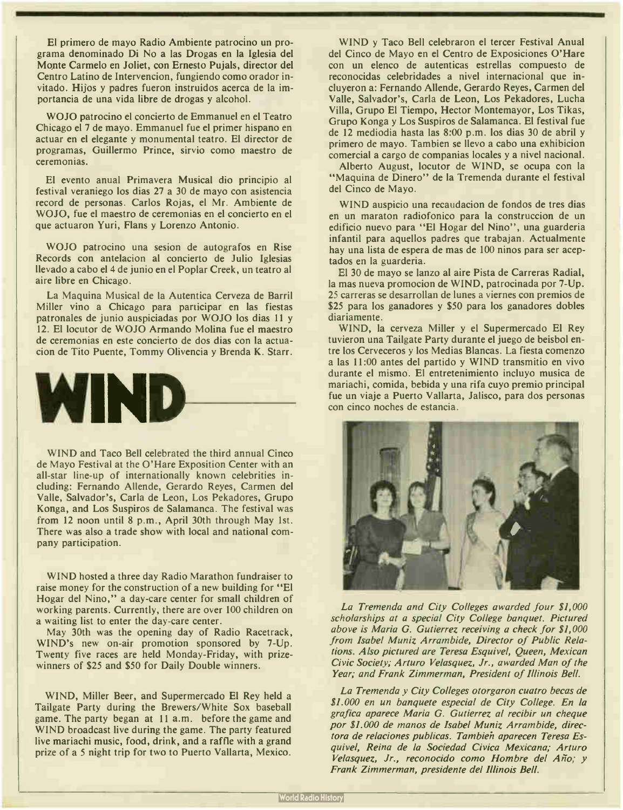El primero de mayo Radio Ambiente patrocino un programa denominado Di No a las Drogas en la Iglesia del Monte Carmelo en Joliet, con Ernesto Pujals, director del Centro Latino de Intervencion, fungiendo como orador invitado. Hijos y padres fueron instruidos acerca de la importancia de una vida libre de drogas y alcohol.

WOJO patrocino el concierto de Emmanuel en el Teatro Chicago el 7 de mayo. Emmanuel fue el primer hispano en actuar en el elegante y monumental teatro. El director de programas, Guillermo Prince, sirvio como maestro de ceremonias.

El evento anual Primavera Musical dio principio al festival veraniego los dias 27 a 30 de mayo con asistencia record de personas. Carlos Rojas, el Mr. Ambiente de WOJO, fue el maestro de ceremonias en el concierto en el que actuaron Yuri, Flans y Lorenzo Antonio.

WOJO patrocino una sesion de autografos en Rise Records con antelacion al concierto de Julio Iglesias llevado a cabo el 4 de junio en el Poplar Creek, un teatro al aire libre en Chicago.

La Maquina Musical de la Autentica Cerveza de Barril Miller vino a Chicago para participar en las fiestas patronales de junio auspiciadas por WOJO los dias 11 y 12. El locutor de WOJO Armando Molina fue el maestro de ceremonias en este concierto de dos dias con la actuacion de Tito Puente, Tommy Olivencia y Brenda K. Starr.



WIND and Taco Bell celebrated the third annual Cinco de Mayo Festival at the O'Hare Exposition Center with an all-star line-up of internationally known celebrities including: Fernando Allende, Gerardo Reyes, Carmen del Valle, Salvador's, Carla de Leon, Los Pekadores, Grupo Konga, and Los Suspiros de Salamanca. The festival was from 12 noon until 8 p.m., April 30th through May 1st. There was also a trade show with local and national company participation.

WIND hosted a three day Radio Marathon fundraiser to raise money for the construction of a new building for " El Hogar del Nino," a day-care center for small children of working parents. Currently, there are over 100 children on a waiting list to enter the day-care center.

May 30th was the opening day of Radio Racetrack, WIND's new on-air promotion sponsored by 7-Up. Twenty five races are held Monday-Friday, with prizewinners of \$25 and \$50 for Daily Double winners.

WIND, Miller Beer, and Supermercado El Rey held a Tailgate Party during the Brewers/White Sox baseball game. The party began at 11 a.m. before the game and WIND broadcast live during the game. The party featured live mariachi music, food, drink, and a raffle with a grand prize of a 5 night trip for two to Puerto Vallarta, Mexico.

WIND y Taco Bell celebraron el tercer Festival Anual del Cinco de Mayo en el Centro de Exposiciones O'Hare con un elenco de autenticas estrellas compuesto de reconocidas celebridades a nivel internacional que incluyeron a: Fernando Allende, Gerardo Reyes, Carmen del Valle, Salvador's, Carla de Leon, Los Pekadores, Lucha Villa, Grupo El Tiempo, Hector Montemayor, Los Tikas, Grupo Konga y Los Suspiros de Salamanca. El festival fue de 12 mediodia hasta las 8:00 p.m. los dias 30 de abril y primero de mayo. Tambien se llevo a cabo una exhibicion comercial a cargo de companias locales y a nivel nacional.

Alberto August, locutor de WIND, se ocupa con la "Maquina de Dinero" de la Tremenda durante el festival del Cinco de Mayo.

WIND auspicio una recaudacion de fondos de tres dias en un maraton radiofonico para la construccion de un edificio nuevo para "El Hogar del Nino", una guarderia infantil para aquellos padres que trabajan. Actualmente hay una lista de espera de mas de 100 ninos para ser aceptados en la guarderia.

El 30 de mayo se lanzo al aire Pista de Carreras Radial, la mas nueva promocion de WIND, patrocinada por 7-Up. <sup>25</sup> carreras se desarrollan de lunes a viernes con premios de \$25 para los ganadores y \$50 para los ganadores dobles diariamente.

WIND, la cerveza Miller y el Supermercado El Rey tuvieron una Tailgate Party durante el juego de beisbol entre los Cerveceros y los Medias Blancas. La fiesta comenzo a las 11:00 antes del partido y WIND transmitio en vivo durante el mismo. El entretenimiento incluyo musica de mariachi, comida, bebida y una rifa cuyo premio principal fue un viaje a Puerto Vallarta, Jalisco, para dos personas con cinco noches de estancia.



La Tremenda and City Colleges awarded four \$1,000 scholarships at a special City College banquet. Pictured above is Maria G. Gutierrez receiving a check for \$1,000 from Isabel Muniz Arrambide, Director of Public Relations. Also pictured are Teresa Esquivel, Queen, Mexican Civic Society; Arturo Velasquez, Jr., awarded Man of the Year; and Frank Zimmerman, President of Illinois Bell.

La Tremenda y City Colleges otorgaron cuatro becas de \$1.000 en un banquete especial de City College. En la grafica aparece Maria G. Gutierrez al recibir un cheque por \$1.000 de manos de Isabel Muniz Arrambide, directora de relaciones publicas. Tambieh aparecen Teresa Esquivel, Reina de la Sociedad Civica Mexicana; Arturo Velasquez, Jr., reconocido como Hombre del Año; y Frank Zimmerman, presidente del Illinois Bell.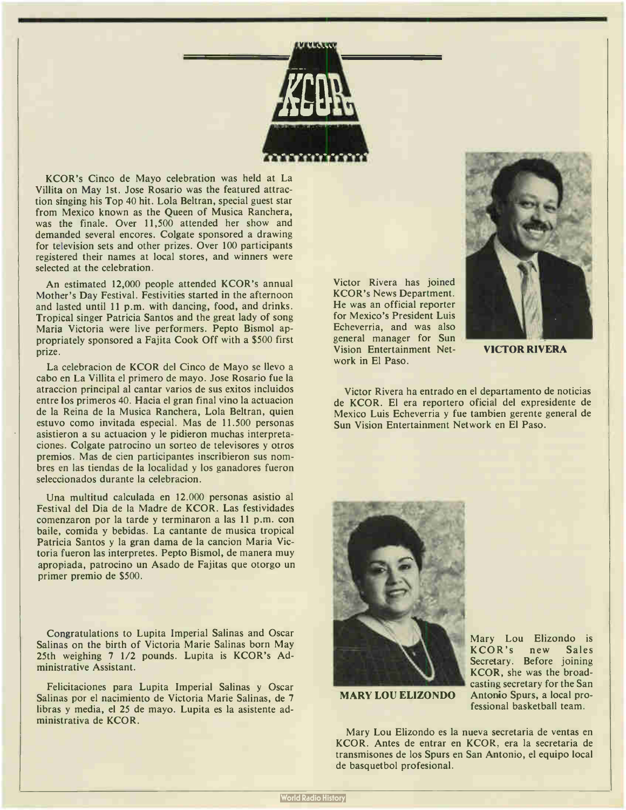

KCOR's Cinco de Mayo celebration was held at La Villita on May 1st. Jose Rosario was the featured attraction singing his Top 40 hit. Lola Beltran, special guest star from Mexico known as the Queen of Musica Ranchera, was the finale. Over 11,500 attended her show and demanded several encores. Colgate sponsored a drawing for television sets and other prizes. Over 100 participants registered their names at local stores, and winners were selected at the celebration.

An estimated 12,000 people attended KCOR's annual Mother's Day Festival. Festivities started in the afternoon and lasted until 11 p.m. with dancing, food, and drinks. Tropical singer Patricia Santos and the great lady of song Maria Victoria were live performers. Pepto Bismol appropriately sponsored a Fajita Cook Off with a \$500 first prize.

La celebracion de KCOR del Cinco de Mayo se llevo a cabo en La Villita el primero de mayo. Jose Rosario fue la atraccion principal al cantar varios de sus exitos incluidos entre los primeros 40. Hacia el gran final vino la actuacion de la Reina de la Musica Ranchera, Lola Beltran, quien estuvo como invitada especial. Mas de 11.500 personas asistieron a su actuacion y le pidieron muchas interpretaciones. Colgate patrocino un sorteo de televisores y otros premios. Mas de cien participantes inscribieron sus nombres en las tiendas de la localidad y los ganadores fueron seleccionados durante la celebracion.

Una multitud calculada en 12.000 personas asistio al Festival del Dia de la Madre de KCOR. Las festividades comenzaron por la tarde y terminaron a las 11 p.m. con baile, comida y bebidas. La cantante de musica tropical Patricia Santos y la gran dama de la cancion Maria Victoria fueron las interpretes. Pepto Bismol, de manera muy apropiada, patrocino un Asado de Fajitas que otorgo un primer premio de \$500.

Congratulations to Lupita Imperial Salinas and Oscar Salinas on the birth of Victoria Marie Salinas born May 25th weighing 7 1/2 pounds. Lupita is KCOR's Administrative Assistant.

Felicitaciones para Lupita Imperial Salinas y Oscar Salinas por el nacimiento de Victoria Marie Salinas, de 7 libras y media, el 25 de mayo. Lupita es la asistente administrativa de KCOR.

Victor Rivera has joined KCOR's News Department. He was an official reporter for Mexico's President Luis Echeverria, and was also general manager for Sun Vision Entertainment Network in El Paso.



VICTOR RIVERA

Victor Rivera ha entrado en el departamento de noticias de KCOR. El era reportero oficial del expresidente de Mexico Luis Echeverria y fue tambien gerente general de Sun Vision Entertainment Network en El Paso.



MARY LOU ELIZONDO

Mary Lou Elizondo is KCOR's new Sales Secretary. Before joining KCOR, she was the broadcasting secretary for the San Antonio Spurs, a local professional basketball team.

Mary Lou Elizondo es la nueva secretaria de ventas en KCOR. Antes de entrar en KCOR, era la secretaria de transmisones de los Spurs en San Antonio, el equipo local de basquetbol profesional.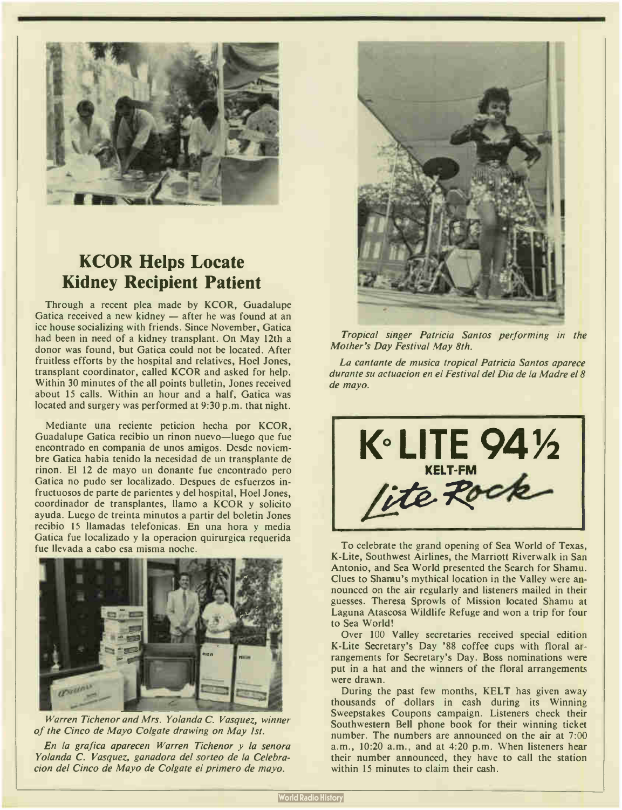

## KCOR Helps Locate Kidney Recipient Patient

Through a recent plea made by KCOR, Guadalupe Gatica received a new kidney — after he was found at an ice house socializing with friends. Since November, Gatica had been in need of a kidney transplant. On May 12th a donor was found, but Gatica could not be located. After fruitless efforts by the hospital and relatives, Hoel Jones, transplant coordinator, called KCOR and asked for help. Within 30 minutes of the all points bulletin, Jones received about 15 calls. Within an hour and a half, Gatica was located and surgery was performed at 9:30 p.m. that night.

Mediante una reciente peticion hecha por KCOR, Guadalupe Gatica recibio un rinon nuevo—luego que fue encontrado en compania de unos amigos. Desde noviembre Gatica habia tenido la necesidad de un transplante de rinon. El 12 de mayo un donante fue encontrado pero Gatica no pudo ser localizado. Despues de esfuerzos infructuosos de parte de parientes y del hospital, Hoe! Jones, coordinador de transplantes, llamo a KCOR y solicito ayuda. Luego de treinta minutos a partir del boletin Jones recibio 15 llamadas telefonicas. En una hora y media Gatica fue localizado y la operacion quirurgica requerida fue llevada a cabo esa misma noche.



Warren Tichenor and Mrs. Yolanda C. Vasquez, winner of the Cinco de Mayo Colgate drawing on May 1st.

En la grafica aparecen Warren Tichenor y la senora Yolanda C. Vasquez, ganadora del sorteo de la Celebracion del Cinco de Mayo de Colgate el primero de mayo.



Tropical singer Patricia Santos performing in the Mother's Day Festival May 8th.

La cantante de musica tropical Patricia Santos aparece durante su actuacion en el Festival del Dia de la Madre el 8 de mayo.



To celebrate the grand opening of Sea World of Texas, K-Lite, Southwest Airlines, the Marriott Riverwalk in San Antonio, and Sea World presented the Search for Shamu. Clues to Shamu's mythical location in the Valley were announced on the air regularly and listeners mailed in their guesses. Theresa Sprowls of Mission located Shamu at Laguna Atascosa Wildlife Refuge and won a trip for four to Sea World!

Over 100 Valley secretaries received special edition K-Lite Secretary's Day '88 coffee cups with floral arrangements for Secretary's Day. Boss nominations were put in a hat and the winners of the floral arrangements were drawn.

During the past few months, KELT has given away thousands of dollars in cash during its Winning Sweepstakes Coupons campaign. Listeners check their Southwestern Bell phone book for their winning ticket number. The numbers are announced on the air at 7:00 a.m., 10:20 a.m., and at 4:20 p.m. When listeners hear their number announced, they have to call the station within 15 minutes to claim their cash.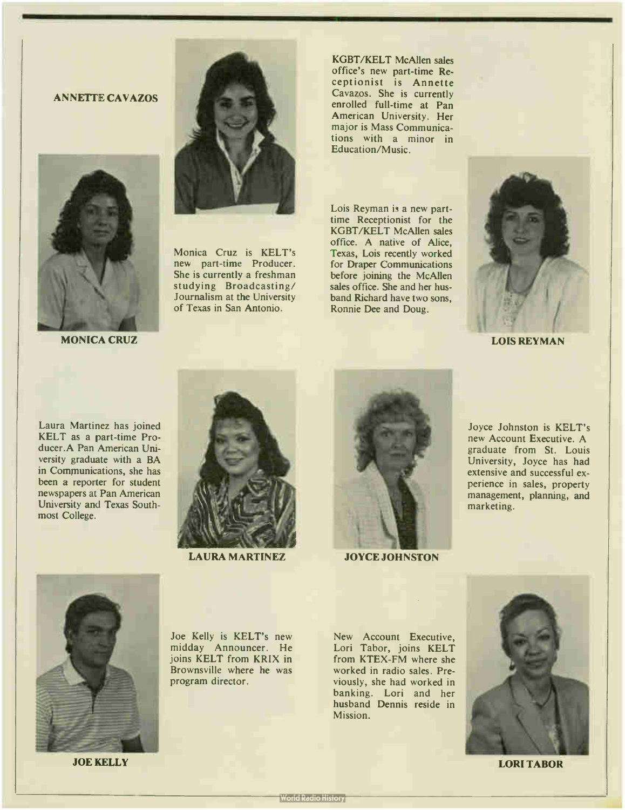#### ANNETTE CAVAZOS



MONICA CRUZ



Monica Cruz is KELT's new part-time Producer. She is currently a freshman studying Broadcasting/ Journalism at the University of Texas in San Antonio.

KGBT/KELT McAllen sales office's new part-time Receptionist is Annette Cavazos. She is currently enrolled full-time at Pan American University. Her major is Mass Communications with a minor in Education/Music.

Lois Reyman is a new parttime Receptionist for the KGBT/KELT McAllen sales office. A native of Alice, Texas, Lois recently worked for Draper Communications before joining the McAllen sales office. She and her husband Richard have two sons, Ronnie Dee and Doug.



LOIS REYMAN

Laura Martinez has joined KELT as a part-time Producer.A Pan American University graduate with a BA in Communications, she has been a reporter for student newspapers at Pan American University and Texas Southmost College.



LAURA MARTINEZ



JOYCE JOHNSTON

Joyce Johnston is KELT's new Account Executive. A graduate from St. Louis University, Joyce has had extensive and successful experience in sales, property management, planning, and marketing.



JOE KELLY LORI TABOR

Joe Kelly is KELT's new midday Announcer. He joins KELT from KRIX in Brownsville where he was program director.

New Account Executive, Lori Tabor, joins KELT from KTEX-FM where she worked in radio sales. Previously, she had worked in banking. Lori and her husband Dennis reside in Mission.

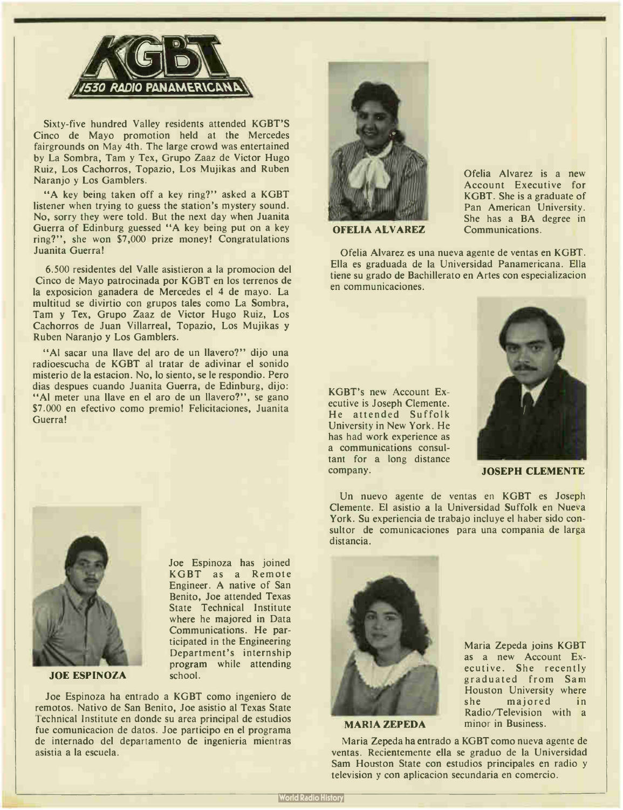

Sixty-five hundred Valley residents attended KGBT'S Cinco de Mayo promotion held at the Mercedes fairgrounds on May 4th. The large crowd was entertained by La Sombra, Tam y Tex, Grupo Zaaz de Victor Hugo Ruiz, Los Cachorros, Topazio, Los Mujikas and Ruben Naranjo y Los Gamblers.

"A key being taken off a key ring?" asked a KGBT listener when trying to guess the station's mystery sound. No, sorry they were told. But the next day when Juanita Guerra of Edinburg guessed "A key being put on a key ring?", she won \$7,000 prize money! Congratulations Juanita Guerra!

6.500 residentes del Valle asistieron a la promocion del Cinco de Mayo patrocinada por KGBT en los terrenos de la exposicion ganadera de Mercedes el 4 de mayo. La multitud se divirtio con grupos tales como La Sombra, Tam y Tex, Grupo Zaaz de Victor Hugo Ruiz, Los Cachorros de Juan Villarreal, Topazio, Los Mujikas y Ruben Naranjo y Los Gamblers.

"Al sacar una llave del aro de un llavero?" dijo una radioescucha de KGBT al tratar de adivinar el sonido misterio de la estacion. No, lo siento, se le respondio. Pero dias despues cuando Juanita Guerra, de Edinburg, dijo: "Al meter una llave en el aro de un llavero?", se gano \$7.000 en efectivo como premio! Felicitaciones, Juanita Guerra!



JOE ESPINOZA

Joe Espinoza has joined KGBT as a Remote Engineer. A native of San Benito, Joe attended Texas State Technical Institute where he majored in Data Communications. He participated in the Engineering Department's internship program while attending school.

Joe Espinoza ha entrado a KGBT como ingeniero de remotos. Nativo de San Benito, Joe asistio al Texas State Technical Institute en donde su area principal de estudios fue comunicacion de datos. Joe participo en el programa de internado del departamento de ingenieria mientras asistia a la escuela.



Ofelia Alvarez is a new Account Executive for KGBT. She is a graduate of Pan American University. She has a BA degree in Communications.

OFELIA ALVAREZ

Ofelia Alvarez es una nueva agente de yentas en KGBT. Ella es graduada de la Universidad Panamericana. Ella tiene su grado de Bachillerato en Artes con especializacion en communicaciones.

KGBT's new Account Executive is Joseph Clemente. He attended Suffolk University in New York. He has had work experience as a communications consultant for a long distance company. JOSEPH CLEMENTE



Un nuevo agente de yentas en KGBT es Joseph Clemente. El asistio a la Universidad Suffolk en Nueva York. Su experiencia de trabajo incluye el haber sido consultor de comunicaciones para una compania de larga distancia.



MARIA ZEPEDA

Maria Zepeda joins KGBT as a new Account Executive. She recently graduated from Sam Houston University where she majored in Radio/Television with a minor in Business.

Maria Zepeda ha entrado a KGBT como nueva agente de yentas. Recientemente ella se graduo de la Universidad Sam Houston State con estudios principales en radio y television y con aplicacion secundaria en comercio.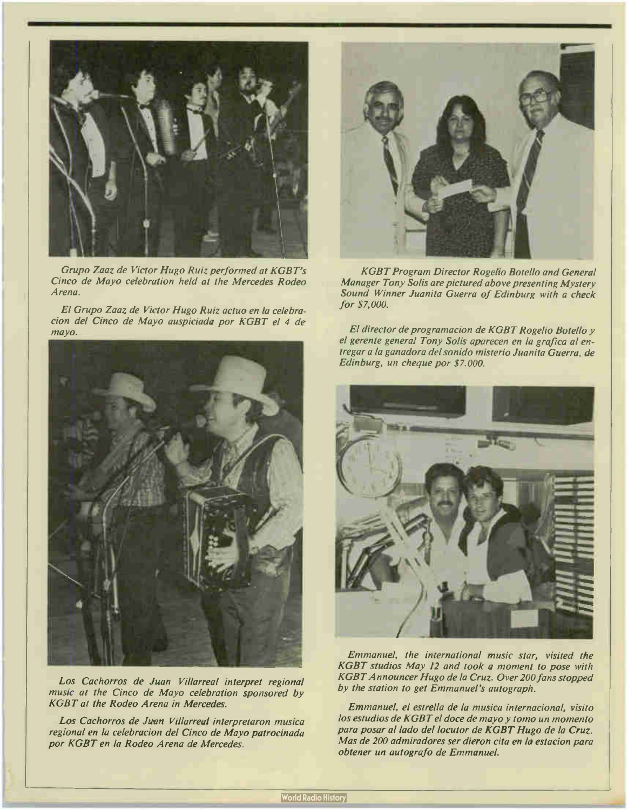

Grupo Zaaz de Victor Hugo Ruiz performed at KGBT's Cinco de Mayo celebration held at the Mercedes Rodeo Arena.

El Grupo Zaaz de Victor Hugo Ruiz actuo en la celebracion del Cinco de Mayo auspiciada por KGBT el 4 de mayo.



Los Cachorros de Juan Villarreal interpret regional music at the Cinco de Mayo celebration sponsored by KGBT at the Rodeo Arena in Mercedes.

Los Cachorros de Juan Villarreal interpretaron musica regional en la celebracion del Cinco de Mayo patrocinada por KGBT en la Rodeo Arena de Mercedes.



**KGBT Program Director Rogelio Botello and General** Manager Tony Solis are pictured above presenting Mystery Sound Winner Juanita Guerra of Edinburg with a check for \$7,000.

El director de programacion de KGBT Rogelio Botella y el gerente general Tony Solis aparecen en la grafica al entregar a la ganadora del sonido misterio Juanita Guerra. de Edinburg, un cheque por \$7.000.



Emmanuel, the international music star, visited the KGBT studios May 12 and took a moment to pose with KGBTAnnouncer Hugo de la Cruz. Over 200 fans stopped by the station to get Emmanuel's autograph.

Emmanuel, el estrella de la musica internacional, visito los estudios de KGBT el doce de mayo y tomo un momento para posar al lado del locutor de KGBT Hugo de la Cruz. Mas de 200 admiradores ser dieron cita en la estacion para obtener un autografo de Emmanuel.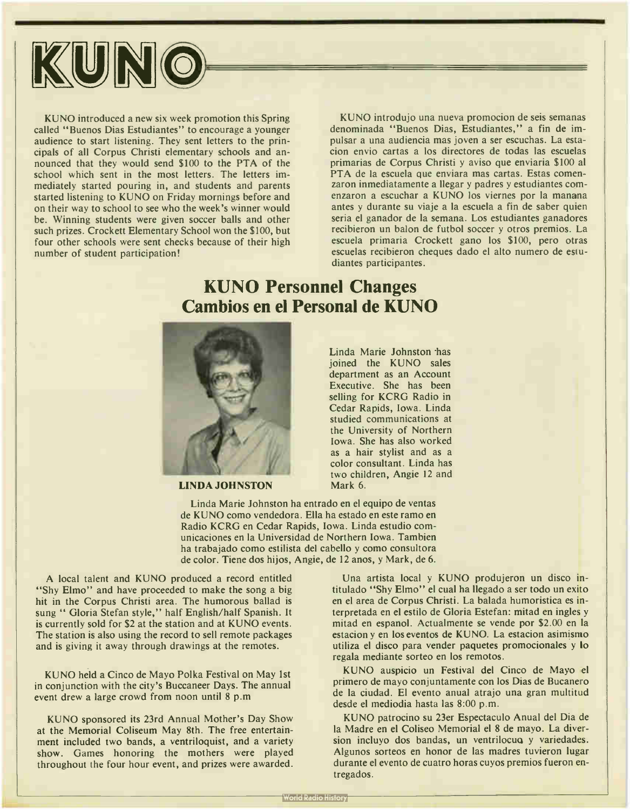

KUNO introduced a new six week promotion this Spring called "Buenos Dias Estudiantes" to encourage a younger audience to start listening. They sent letters to the principals of all Corpus Christi elementary schools and announced that they would send \$100 to the PTA of the school which sent in the most letters. The letters immediately started pouring in, and students and parents started listening to KUNO on Friday mornings before and on their way to school to see who the week's winner would be. Winning students were given soccer balls and other such prizes. Crockett Elementary School won the \$100, but four other schools were sent checks because of their high number of student participation!

KUNO introdujo una nueva promocion de seis semanas denominada "Buenos Dias, Estudiantes," a fin de impulsar a una audiencia mas joven a ser escuchas. La estacion envio cartas a los directores de todas las escuelas primarias de Corpus Christi y aviso que enviaria \$100 al PTA de la escuela que enviara mas cartas. Estas comenzaron inmediatamente a llegar y padres y estudiantes comenzaron a escuchar a KUNO los viernes por la manana antes y durante su viaje a la escuela a fin de saber quien seria el ganador de la semana. Los estudiantes ganadores recibieron un balon de futbol soccer y otros premios. La escuela primaria Crockett gano los \$100, pero otras escuelas recibieron cheques dado el alto numero de estudiantes participantes.

### KUNO Personnel Changes Cambios en el Personal de KUNO



LINDA JOHNSTON

Linda Marie Johnston has joined the KUNO sales department as an Account Executive. She has been selling for KCRG Radio in Cedar Rapids, Iowa. Linda studied communications at the University of Northern Iowa. She has also worked as a hair stylist and as a color consultant. Linda has two children, Angie 12 and Mark 6.

Linda Marie Johnston ha entrado en el equipo de yentas de KUNO como vendedora. Ella ha estado en este ramo en Radio KCRG en Cedar Rapids, Iowa. Linda estudio comunicaciones en la Universidad de Northern Iowa. Tambien ha trabajado como estilista del cabello y como consultora de color. Tiene dos hijos, Angie, de 12 anos, y Mark, de 6.

A local talent and KUNO produced a record entitled "Shy Elmo" and have proceeded to make the song a big hit in the Corpus Christi area. The humorous ballad is sung " Gloria Stefan style," half English/half Spanish. It is currently sold for \$2 at the station and at KUNO events. The station is also using the record to sell remote packages and is giving it away through drawings at the remotes.

KUNO held a Cinco de Mayo Polka Festival on May 1st in conjunction with the city's Buccaneer Days. The annual event drew a large crowd from noon until 8 p.m

KUNO sponsored its 23rd Annual Mother's Day Show at the Memorial Coliseum May 8th. The free entertainment included two bands, a ventriloquist, and a variety show. Games honoring the mothers were played throughout the four hour event, and prizes were awarded.

Una artista local y KUNO produjeron un disco intitulado " Shy Elmo" el cual ha llegado a ser todo un exito en el area de Corpus Christi. La balada humoristica es interpretada en el estilo de Gloria Estefan: mitad en ingles y mitad en espanol. Actualmente se vende por \$2.00 en la estacion y en los eventos de KUNO. La estacion asimismo utiliza el disco para vender paquetes promocionales y lo regala mediante sorteo en los remotos.

KUNO auspicio un Festival del Cinco de Mayo el primero de mayo conjuntamente con los Dias de Bucanero de la ciudad. El evento anual atrajo una gran multitud desde el mediodia hasta las 8:00 p.m.

KUNO patrocino su 23er Espectaculo Anual del Dia de la Madre en el Coliseo Memorial el 8 de mayo. La diversion incluyo dos bandas, un ventrilocua y variedades. Algunos sorteos en honor de las madres tuvieron lugar durante el evento de cuatro horas cuyos premios fueron entregados.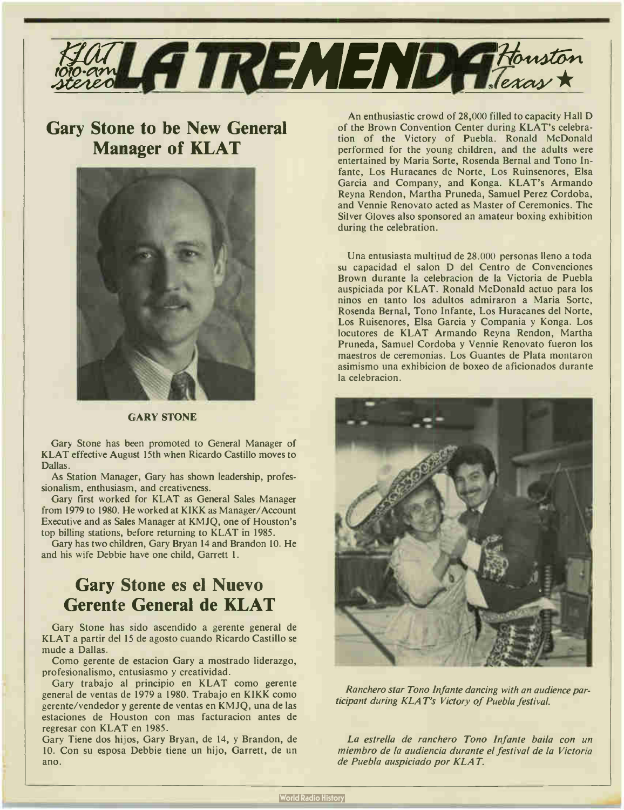

## Gary Stone to be New General Manager of KLAT



#### GARY STONE

Gary Stone has been promoted to General Manager of KLAT effective August 15th when Ricardo Castillo moves to Dallas.

As Station Manager, Gary has shown leadership, professionalism, enthusiasm, and creativeness.

Gary first worked for KLAT as General Sales Manager from 1979 to 1980. He worked at KIKK as Manager/Account Executive and as Sales Manager at KMJQ, one of Houston's top billing stations, before returning to KLAT in 1985.

Gary has two children, Gary Bryan 14 and Brandon 10. He and his wife Debbie have one child, Garrett I.

### Gary Stone es el Nuevo Gerente General de KLAT

Gary Stone has sido ascendido a gerente general de KLAT a partir del 15 de agosto cuando Ricardo Castillo se mude a Dallas.

Como gerente de estacion Gary a mostrado liderazgo, profesionalismo, entusiasmo y creatividad.

Gary trabajo al principio en KLAT como gerente general de ventas de 1979 a 1980. Trabajo en KIKK como gerente/vendedor y gerente de ventas en KMJQ, una de las estaciones de Houston con mas facturacion antes de regresar con KLAT en 1985.

Gary Tiene dos hijos, Gary Bryan, de 14, y Brandon, de 10. Con su esposa Debbie tiene un hijo, Garrett, de un ano.

An enthusiastic crowd of 28,000 filled to capacity Hall D of the Brown Convention Center during KLAT's celebration of the Victory of Puebla. Ronald McDonald performed for the young children, and the adults were entertained by Maria Sorte, Rosenda Bernal and Tono Infante, Los Huracanes de Norte, Los Ruinsenores, Elsa Garcia and Company, and Konga. KLAT's Armando Reyna Rendon, Martha Pruneda, Samuel Perez Cordoba, and Vennie Renovato acted as Master of Ceremonies. The Silver Gloves also sponsored an amateur boxing exhibition during the celebration.

Una entusiasta multitud de 28.000 personas lleno a toda su capacidad el salon D del Centro de Convenciones Brown durante la celebracion de la Victoria de Puebla auspiciada por KLAT. Ronald McDonald actuo para los ninos en tanto los adultos admiraron a Maria Sorte, Rosenda Bernal, Tono Infante, Los Huracanes del Norte, Los Ruisenores, Elsa Garcia y Compania y Konga. Los locutores de KLAT Armando Reyna Rendon, Martha Pruneda, Samuel Cordoba y Vennie Renovato fueron los maestros de ceremonias. Los Guantes de Plata montaron asimismo una exhibicion de boxeo de aficionados durante la celebracion.



Ranchero star Tono Infante dancing with an audience participant during KLAT's Victory of Puebla festival.

La estrella de ranchero Tono Infante baila con un miembro de la audiencia durante el festival de la Victoria de Puebla auspiciado por KLAT.